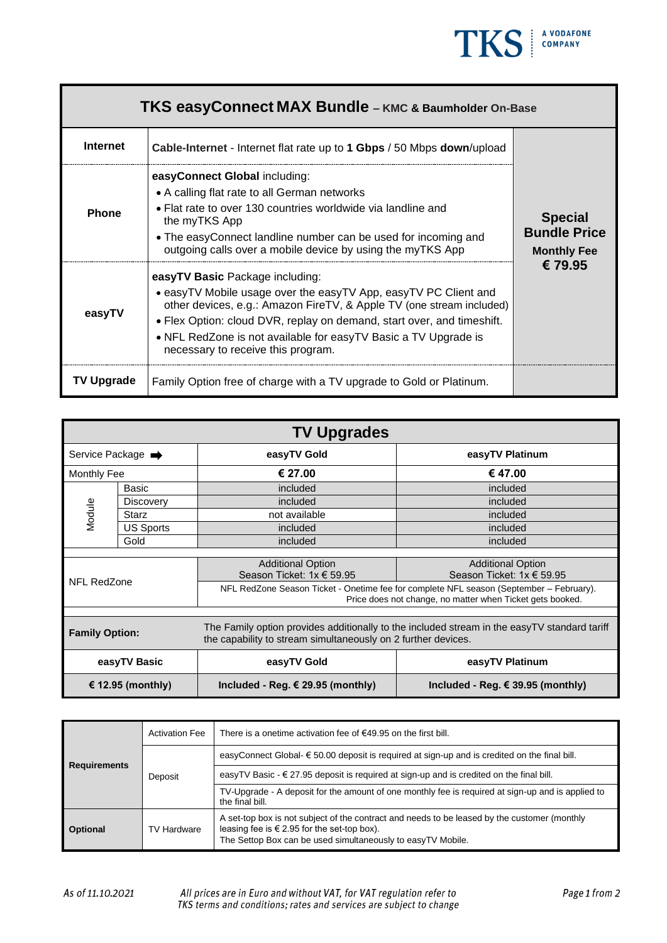

| <b>TKS easyConnect MAX Bundle - KMC &amp; Baumholder On-Base</b> |                                                                                                                                                                                                                                                                                                                                                               |                                                             |  |  |
|------------------------------------------------------------------|---------------------------------------------------------------------------------------------------------------------------------------------------------------------------------------------------------------------------------------------------------------------------------------------------------------------------------------------------------------|-------------------------------------------------------------|--|--|
| <b>Internet</b>                                                  | <b>Cable-Internet</b> - Internet flat rate up to 1 Gbps / 50 Mbps down/upload                                                                                                                                                                                                                                                                                 |                                                             |  |  |
| <b>Phone</b>                                                     | easyConnect Global including:<br>• A calling flat rate to all German networks<br>• Flat rate to over 130 countries worldwide via landline and<br>the myTKS App<br>• The easyConnect landline number can be used for incoming and<br>outgoing calls over a mobile device by using the myTKS App                                                                | <b>Special</b><br><b>Bundle Price</b><br><b>Monthly Fee</b> |  |  |
| easyTV                                                           | easyTV Basic Package including:<br>• easyTV Mobile usage over the easyTV App, easyTV PC Client and<br>other devices, e.g.: Amazon FireTV, & Apple TV (one stream included)<br>• Flex Option: cloud DVR, replay on demand, start over, and timeshift.<br>• NFL RedZone is not available for easyTV Basic a TV Upgrade is<br>necessary to receive this program. | €79.95                                                      |  |  |
| <b>TV Upgrade</b>                                                | Family Option free of charge with a TV upgrade to Gold or Platinum.                                                                                                                                                                                                                                                                                           |                                                             |  |  |

| <b>TV Upgrades</b>    |                  |                                                                                                                                                               |                                            |  |  |
|-----------------------|------------------|---------------------------------------------------------------------------------------------------------------------------------------------------------------|--------------------------------------------|--|--|
| Service Package →     |                  | easyTV Gold                                                                                                                                                   | easyTV Platinum                            |  |  |
| Monthly Fee           |                  | € 27.00                                                                                                                                                       | € 47.00                                    |  |  |
|                       | Basic            | included                                                                                                                                                      | included                                   |  |  |
|                       | <b>Discovery</b> | included                                                                                                                                                      | included                                   |  |  |
| Module                | <b>Starz</b>     | not available                                                                                                                                                 | included                                   |  |  |
|                       | <b>US Sports</b> | included                                                                                                                                                      | included                                   |  |  |
|                       | Gold             | included                                                                                                                                                      | included                                   |  |  |
|                       |                  |                                                                                                                                                               |                                            |  |  |
| NFL RedZone           |                  | <b>Additional Option</b>                                                                                                                                      | <b>Additional Option</b>                   |  |  |
|                       |                  | Season Ticket: 1x € 59.95                                                                                                                                     | Season Ticket: $1x \in 59.95$              |  |  |
|                       |                  | NFL RedZone Season Ticket - Onetime fee for complete NFL season (September - February).<br>Price does not change, no matter when Ticket gets booked.          |                                            |  |  |
|                       |                  |                                                                                                                                                               |                                            |  |  |
| <b>Family Option:</b> |                  | The Family option provides additionally to the included stream in the easyTV standard tariff<br>the capability to stream simultaneously on 2 further devices. |                                            |  |  |
| easyTV Basic          |                  | easyTV Gold                                                                                                                                                   | easyTV Platinum                            |  |  |
| € 12.95 (monthly)     |                  | Included - Reg. $\epsilon$ 29.95 (monthly)                                                                                                                    | Included - Reg. $\epsilon$ 39.95 (monthly) |  |  |

| <b>Requirements</b> | <b>Activation Fee</b>                                                                                                                                                                                                                | There is a onetime activation fee of $€49.95$ on the first bill.                                                     |
|---------------------|--------------------------------------------------------------------------------------------------------------------------------------------------------------------------------------------------------------------------------------|----------------------------------------------------------------------------------------------------------------------|
|                     | Deposit                                                                                                                                                                                                                              | easyConnect Global- $\epsilon$ 50.00 deposit is required at sign-up and is credited on the final bill.               |
|                     |                                                                                                                                                                                                                                      | easyTV Basic $-\epsilon$ 27.95 deposit is required at sign-up and is credited on the final bill.                     |
|                     |                                                                                                                                                                                                                                      | TV-Upgrade - A deposit for the amount of one monthly fee is required at sign-up and is applied to<br>the final bill. |
| <b>Optional</b>     | A set-top box is not subject of the contract and needs to be leased by the customer (monthly<br>leasing fee is $\in$ 2.95 for the set-top box).<br><b>TV Hardware</b><br>The Settop Box can be used simultaneously to easyTV Mobile. |                                                                                                                      |